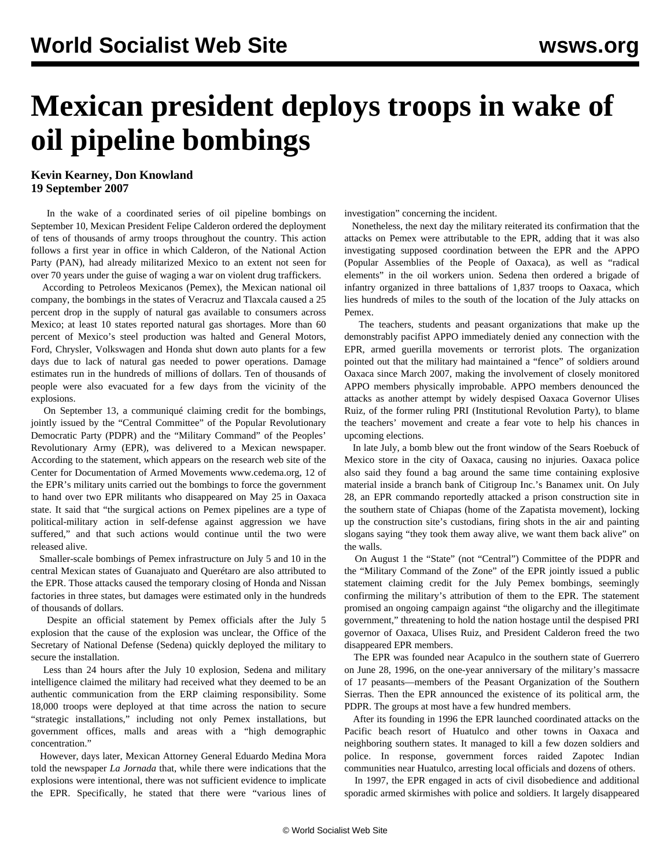## **Mexican president deploys troops in wake of oil pipeline bombings**

## **Kevin Kearney, Don Knowland 19 September 2007**

 In the wake of a coordinated series of oil pipeline bombings on September 10, Mexican President Felipe Calderon ordered the deployment of tens of thousands of army troops throughout the country. This action follows a first year in office in which Calderon, of the National Action Party (PAN), had already militarized Mexico to an extent not seen for over 70 years under the guise of waging a war on violent drug traffickers.

 According to Petroleos Mexicanos (Pemex), the Mexican national oil company, the bombings in the states of Veracruz and Tlaxcala caused a 25 percent drop in the supply of natural gas available to consumers across Mexico; at least 10 states reported natural gas shortages. More than 60 percent of Mexico's steel production was halted and General Motors, Ford, Chrysler, Volkswagen and Honda shut down auto plants for a few days due to lack of natural gas needed to power operations. Damage estimates run in the hundreds of millions of dollars. Ten of thousands of people were also evacuated for a few days from the vicinity of the explosions.

 On September 13, a communiqué claiming credit for the bombings, jointly issued by the "Central Committee" of the Popular Revolutionary Democratic Party (PDPR) and the "Military Command" of the Peoples' Revolutionary Army (EPR), was delivered to a Mexican newspaper. According to the statement, which appears on the research web site of the Center for Documentation of Armed Movements www.cedema.org, 12 of the EPR's military units carried out the bombings to force the government to hand over two EPR militants who disappeared on May 25 in Oaxaca state. It said that "the surgical actions on Pemex pipelines are a type of political-military action in self-defense against aggression we have suffered," and that such actions would continue until the two were released alive.

 Smaller-scale bombings of Pemex infrastructure on July 5 and 10 in the central Mexican states of Guanajuato and Querétaro are also attributed to the EPR. Those attacks caused the temporary closing of Honda and Nissan factories in three states, but damages were estimated only in the hundreds of thousands of dollars.

 Despite an official statement by Pemex officials after the July 5 explosion that the cause of the explosion was unclear, the Office of the Secretary of National Defense (Sedena) quickly deployed the military to secure the installation.

 Less than 24 hours after the July 10 explosion, Sedena and military intelligence claimed the military had received what they deemed to be an authentic communication from the ERP claiming responsibility. Some 18,000 troops were deployed at that time across the nation to secure "strategic installations," including not only Pemex installations, but government offices, malls and areas with a "high demographic concentration."

 However, days later, Mexican Attorney General Eduardo Medina Mora told the newspaper *La Jornada* that, while there were indications that the explosions were intentional, there was not sufficient evidence to implicate the EPR. Specifically, he stated that there were "various lines of investigation" concerning the incident.

 Nonetheless, the next day the military reiterated its confirmation that the attacks on Pemex were attributable to the EPR, adding that it was also investigating supposed coordination between the EPR and the APPO (Popular Assemblies of the People of Oaxaca), as well as "radical elements" in the oil workers union. Sedena then ordered a brigade of infantry organized in three battalions of 1,837 troops to Oaxaca, which lies hundreds of miles to the south of the location of the July attacks on Pemex.

 The teachers, students and peasant organizations that make up the demonstrably pacifist APPO immediately denied any connection with the EPR, armed guerilla movements or terrorist plots. The organization pointed out that the military had maintained a "fence" of soldiers around Oaxaca since March 2007, making the involvement of closely monitored APPO members physically improbable. APPO members denounced the attacks as another attempt by widely despised Oaxaca Governor Ulises Ruiz, of the former ruling PRI (Institutional Revolution Party), to blame the teachers' movement and create a fear vote to help his chances in upcoming elections.

 In late July, a bomb blew out the front window of the Sears Roebuck of Mexico store in the city of Oaxaca, causing no injuries. Oaxaca police also said they found a bag around the same time containing explosive material inside a branch bank of Citigroup Inc.'s Banamex unit. On July 28, an EPR commando reportedly attacked a prison construction site in the southern state of Chiapas (home of the Zapatista movement), locking up the construction site's custodians, firing shots in the air and painting slogans saying "they took them away alive, we want them back alive" on the walls.

 On August 1 the "State" (not "Central") Committee of the PDPR and the "Military Command of the Zone" of the EPR jointly issued a public statement claiming credit for the July Pemex bombings, seemingly confirming the military's attribution of them to the EPR. The statement promised an ongoing campaign against "the oligarchy and the illegitimate government," threatening to hold the nation hostage until the despised PRI governor of Oaxaca, Ulises Ruiz, and President Calderon freed the two disappeared EPR members.

 The EPR was founded near Acapulco in the southern state of Guerrero on June 28, 1996, on the one-year anniversary of the military's massacre of 17 peasants—members of the Peasant Organization of the Southern Sierras. Then the EPR announced the existence of its political arm, the PDPR. The groups at most have a few hundred members.

 After its founding in 1996 the EPR launched coordinated attacks on the Pacific beach resort of Huatulco and other towns in Oaxaca and neighboring southern states. It managed to kill a few dozen soldiers and police. In response, government forces raided Zapotec Indian communities near Huatulco, arresting local officials and dozens of others.

 In 1997, the EPR engaged in acts of civil disobedience and additional sporadic armed skirmishes with police and soldiers. It largely disappeared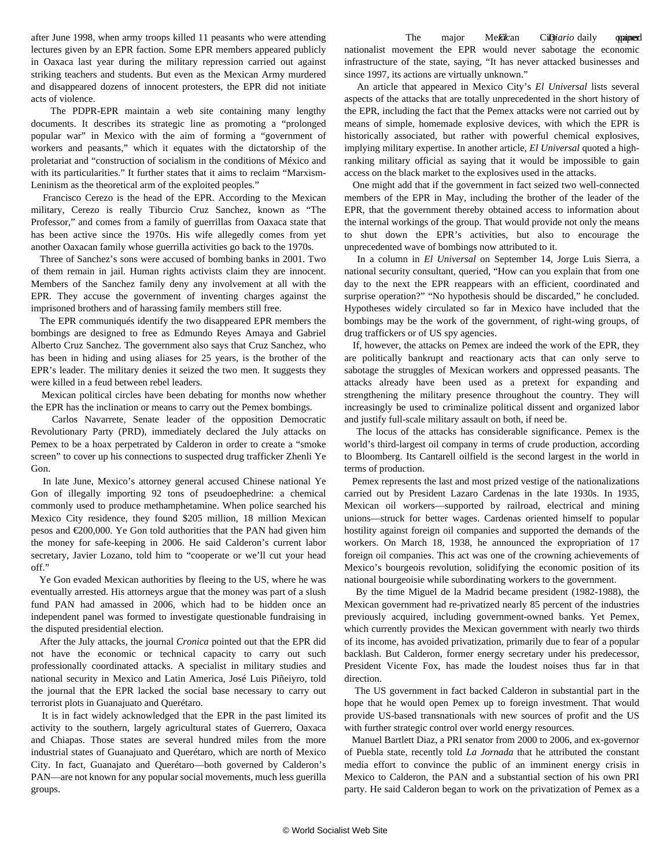after June 1998, when army troops killed 11 peasants who were attending lectures given by an EPR faction. Some EPR members appeared publicly in Oaxaca last year during the military repression carried out against striking teachers and students. But even as the Mexican Army murdered and disappeared dozens of innocent protesters, the EPR did not initiate acts of violence.

 The PDPR-EPR maintain a web site containing many lengthy documents. It describes its strategic line as promoting a "prolonged popular war" in Mexico with the aim of forming a "government of workers and peasants," which it equates with the dictatorship of the proletariat and "construction of socialism in the conditions of México and with its particularities." It further states that it aims to reclaim "Marxism-Leninism as the theoretical arm of the exploited peoples."

 Francisco Cerezo is the head of the EPR. According to the Mexican military, Cerezo is really Tiburcio Cruz Sanchez, known as "The Professor," and comes from a family of guerrillas from Oaxaca state that has been active since the 1970s. His wife allegedly comes from yet another Oaxacan family whose guerrilla activities go back to the 1970s.

 Three of Sanchez's sons were accused of bombing banks in 2001. Two of them remain in jail. Human rights activists claim they are innocent. Members of the Sanchez family deny any involvement at all with the EPR. They accuse the government of inventing charges against the imprisoned brothers and of harassing family members still free.

 The EPR communiqués identify the two disappeared EPR members the bombings are designed to free as Edmundo Reyes Amaya and Gabriel Alberto Cruz Sanchez. The government also says that Cruz Sanchez, who has been in hiding and using aliases for 25 years, is the brother of the EPR's leader. The military denies it seized the two men. It suggests they were killed in a feud between rebel leaders.

 Mexican political circles have been debating for months now whether the EPR has the inclination or means to carry out the Pemex bombings.

 Carlos Navarrete, Senate leader of the opposition Democratic Revolutionary Party (PRD), immediately declared the July attacks on Pemex to be a hoax perpetrated by Calderon in order to create a "smoke screen" to cover up his connections to suspected drug trafficker Zhenli Ye Gon.

 In late June, Mexico's attorney general accused Chinese national Ye Gon of illegally importing 92 tons of pseudoephedrine: a chemical commonly used to produce methamphetamine. When police searched his Mexico City residence, they found \$205 million, 18 million Mexican pesos and €200,000. Ye Gon told authorities that the PAN had given him the money for safe-keeping in 2006. He said Calderon's current labor secretary, Javier Lozano, told him to "cooperate or we'll cut your head off."

 Ye Gon evaded Mexican authorities by fleeing to the US, where he was eventually arrested. His attorneys argue that the money was part of a slush fund PAN had amassed in 2006, which had to be hidden once an independent panel was formed to investigate questionable fundraising in the disputed presidential election.

 After the July attacks, the journal *Cronica* pointed out that the EPR did not have the economic or technical capacity to carry out such professionally coordinated attacks. A specialist in military studies and national security in Mexico and Latin America, José Luis Piñeiyro, told the journal that the EPR lacked the social base necessary to carry out terrorist plots in Guanajuato and Querétaro.

 It is in fact widely acknowledged that the EPR in the past limited its activity to the southern, largely agricultural states of Guerrero, Oaxaca and Chiapas. Those states are several hundred miles from the more industrial states of Guanajuato and Querétaro, which are north of Mexico City. In fact, Guanajato and Querétaro—both governed by Calderon's PAN—are not known for any popular social movements, much less guerilla groups.

The major Mekican CiDiario daily opined nationalist movement the EPR would never sabotage the economic infrastructure of the state, saying, "It has never attacked businesses and since 1997, its actions are virtually unknown."

 An article that appeared in Mexico City's *El Universal* lists several aspects of the attacks that are totally unprecedented in the short history of the EPR, including the fact that the Pemex attacks were not carried out by means of simple, homemade explosive devices, with which the EPR is historically associated, but rather with powerful chemical explosives, implying military expertise. In another article, *El Universal* quoted a highranking military official as saying that it would be impossible to gain access on the black market to the explosives used in the attacks.

 One might add that if the government in fact seized two well-connected members of the EPR in May, including the brother of the leader of the EPR, that the government thereby obtained access to information about the internal workings of the group. That would provide not only the means to shut down the EPR's activities, but also to encourage the unprecedented wave of bombings now attributed to it.

 In a column in *El Universal* on September 14, Jorge Luis Sierra, a national security consultant, queried, "How can you explain that from one day to the next the EPR reappears with an efficient, coordinated and surprise operation?" "No hypothesis should be discarded," he concluded. Hypotheses widely circulated so far in Mexico have included that the bombings may be the work of the government, of right-wing groups, of drug traffickers or of US spy agencies.

 If, however, the attacks on Pemex are indeed the work of the EPR, they are politically bankrupt and reactionary acts that can only serve to sabotage the struggles of Mexican workers and oppressed peasants. The attacks already have been used as a pretext for expanding and strengthening the military presence throughout the country. They will increasingly be used to criminalize political dissent and organized labor and justify full-scale military assault on both, if need be.

 The locus of the attacks has considerable significance. Pemex is the world's third-largest oil company in terms of crude production, according to Bloomberg. Its Cantarell oilfield is the second largest in the world in terms of production.

 Pemex represents the last and most prized vestige of the nationalizations carried out by President Lazaro Cardenas in the late 1930s. In 1935, Mexican oil workers—supported by railroad, electrical and mining unions—struck for better wages. Cardenas oriented himself to popular hostility against foreign oil companies and supported the demands of the workers. On March 18, 1938, he announced the expropriation of 17 foreign oil companies. This act was one of the crowning achievements of Mexico's bourgeois revolution, solidifying the economic position of its national bourgeoisie while subordinating workers to the government.

 By the time Miguel de la Madrid became president (1982-1988), the Mexican government had re-privatized nearly 85 percent of the industries previously acquired, including government-owned banks. Yet Pemex, which currently provides the Mexican government with nearly two thirds of its income, has avoided privatization, primarily due to fear of a popular backlash. But Calderon, former energy secretary under his predecessor, President Vicente Fox, has made the loudest noises thus far in that direction.

 The US government in fact backed Calderon in substantial part in the hope that he would open Pemex up to foreign investment. That would provide US-based transnationals with new sources of profit and the US with further strategic control over world energy resources.

 Manuel Bartlett Diaz, a PRI senator from 2000 to 2006, and ex-governor of Puebla state, recently told *La Jornada* that he attributed the constant media effort to convince the public of an imminent energy crisis in Mexico to Calderon, the PAN and a substantial section of his own PRI party. He said Calderon began to work on the privatization of Pemex as a